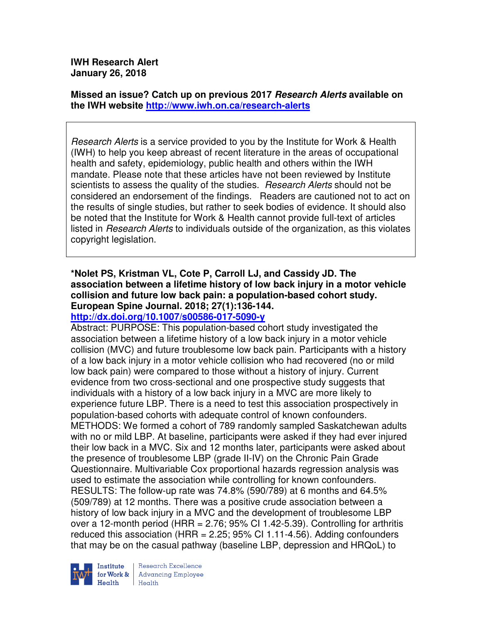## **Missed an issue? Catch up on previous 2017 Research Alerts available on the IWH website http://www.iwh.on.ca/research-alerts**

Research Alerts is a service provided to you by the Institute for Work & Health (IWH) to help you keep abreast of recent literature in the areas of occupational health and safety, epidemiology, public health and others within the IWH mandate. Please note that these articles have not been reviewed by Institute scientists to assess the quality of the studies. Research Alerts should not be considered an endorsement of the findings. Readers are cautioned not to act on the results of single studies, but rather to seek bodies of evidence. It should also be noted that the Institute for Work & Health cannot provide full-text of articles listed in Research Alerts to individuals outside of the organization, as this violates copyright legislation.

# **\*Nolet PS, Kristman VL, Cote P, Carroll LJ, and Cassidy JD. The association between a lifetime history of low back injury in a motor vehicle collision and future low back pain: a population-based cohort study. European Spine Journal. 2018; 27(1):136-144.**

## **http://dx.doi.org/10.1007/s00586-017-5090-y**

Abstract: PURPOSE: This population-based cohort study investigated the association between a lifetime history of a low back injury in a motor vehicle collision (MVC) and future troublesome low back pain. Participants with a history of a low back injury in a motor vehicle collision who had recovered (no or mild low back pain) were compared to those without a history of injury. Current evidence from two cross-sectional and one prospective study suggests that individuals with a history of a low back injury in a MVC are more likely to experience future LBP. There is a need to test this association prospectively in population-based cohorts with adequate control of known confounders. METHODS: We formed a cohort of 789 randomly sampled Saskatchewan adults with no or mild LBP. At baseline, participants were asked if they had ever injured their low back in a MVC. Six and 12 months later, participants were asked about the presence of troublesome LBP (grade II-IV) on the Chronic Pain Grade Questionnaire. Multivariable Cox proportional hazards regression analysis was used to estimate the association while controlling for known confounders. RESULTS: The follow-up rate was 74.8% (590/789) at 6 months and 64.5% (509/789) at 12 months. There was a positive crude association between a history of low back injury in a MVC and the development of troublesome LBP over a 12-month period (HRR =  $2.76$ ;  $95\%$  CI 1.42-5.39). Controlling for arthritis reduced this association (HRR =  $2.25$ ; 95% CI 1.11-4.56). Adding confounders that may be on the casual pathway (baseline LBP, depression and HRQoL) to

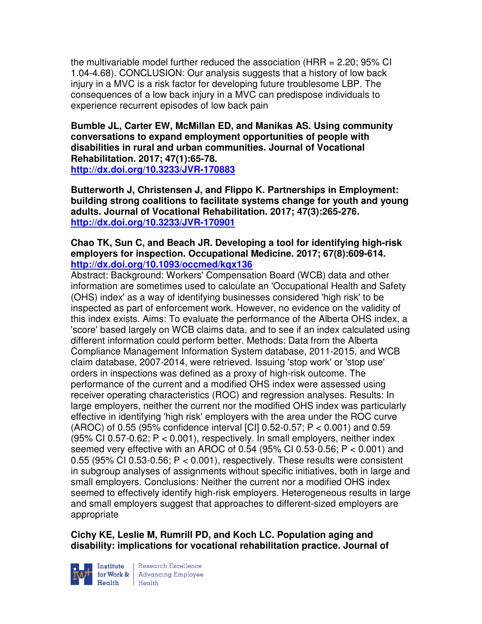the multivariable model further reduced the association (HRR = 2.20; 95% CI 1.04-4.68). CONCLUSION: Our analysis suggests that a history of low back injury in a MVC is a risk factor for developing future troublesome LBP. The consequences of a low back injury in a MVC can predispose individuals to experience recurrent episodes of low back pain

**Bumble JL, Carter EW, McMillan ED, and Manikas AS. Using community conversations to expand employment opportunities of people with disabilities in rural and urban communities. Journal of Vocational Rehabilitation. 2017; 47(1):65-78. http://dx.doi.org/10.3233/JVR-170883** 

**Butterworth J, Christensen J, and Flippo K. Partnerships in Employment: building strong coalitions to facilitate systems change for youth and young adults. Journal of Vocational Rehabilitation. 2017; 47(3):265-276. http://dx.doi.org/10.3233/JVR-170901** 

**Chao TK, Sun C, and Beach JR. Developing a tool for identifying high-risk employers for inspection. Occupational Medicine. 2017; 67(8):609-614. http://dx.doi.org/10.1093/occmed/kqx136** 

Abstract: Background: Workers' Compensation Board (WCB) data and other information are sometimes used to calculate an 'Occupational Health and Safety (OHS) index' as a way of identifying businesses considered 'high risk' to be inspected as part of enforcement work. However, no evidence on the validity of this index exists. Aims: To evaluate the performance of the Alberta OHS index, a 'score' based largely on WCB claims data, and to see if an index calculated using different information could perform better. Methods: Data from the Alberta Compliance Management Information System database, 2011-2015, and WCB claim database, 2007-2014, were retrieved. Issuing 'stop work' or 'stop use' orders in inspections was defined as a proxy of high-risk outcome. The performance of the current and a modified OHS index were assessed using receiver operating characteristics (ROC) and regression analyses. Results: In large employers, neither the current nor the modified OHS index was particularly effective in identifying 'high risk' employers with the area under the ROC curve (AROC) of 0.55 (95% confidence interval [CI] 0.52-0.57; P < 0.001) and 0.59 (95% CI 0.57-0.62;  $P < 0.001$ ), respectively. In small employers, neither index seemed very effective with an AROC of 0.54 (95% CI 0.53-0.56; P < 0.001) and 0.55 (95% CI 0.53-0.56;  $P < 0.001$ ), respectively. These results were consistent in subgroup analyses of assignments without specific initiatives, both in large and small employers. Conclusions: Neither the current nor a modified OHS index seemed to effectively identify high-risk employers. Heterogeneous results in large and small employers suggest that approaches to different-sized employers are appropriate

**Cichy KE, Leslie M, Rumrill PD, and Koch LC. Population aging and disability: implications for vocational rehabilitation practice. Journal of** 



Institute Research Excellence<br>for Work & Advancing Employee<br>Health Health  $H_{\text{eath}}$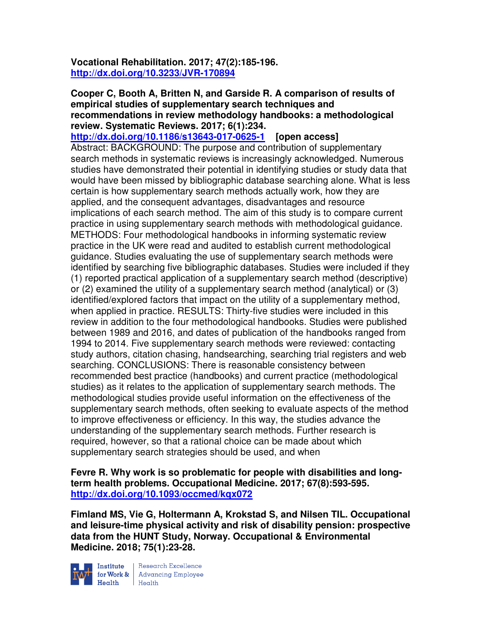**Vocational Rehabilitation. 2017; 47(2):185-196. http://dx.doi.org/10.3233/JVR-170894** 

**Cooper C, Booth A, Britten N, and Garside R. A comparison of results of empirical studies of supplementary search techniques and recommendations in review methodology handbooks: a methodological review. Systematic Reviews. 2017; 6(1):234.** 

**http://dx.doi.org/10.1186/s13643-017-0625-1 [open access]** Abstract: BACKGROUND: The purpose and contribution of supplementary search methods in systematic reviews is increasingly acknowledged. Numerous studies have demonstrated their potential in identifying studies or study data that would have been missed by bibliographic database searching alone. What is less certain is how supplementary search methods actually work, how they are applied, and the consequent advantages, disadvantages and resource implications of each search method. The aim of this study is to compare current practice in using supplementary search methods with methodological guidance. METHODS: Four methodological handbooks in informing systematic review practice in the UK were read and audited to establish current methodological guidance. Studies evaluating the use of supplementary search methods were identified by searching five bibliographic databases. Studies were included if they (1) reported practical application of a supplementary search method (descriptive) or (2) examined the utility of a supplementary search method (analytical) or (3) identified/explored factors that impact on the utility of a supplementary method, when applied in practice. RESULTS: Thirty-five studies were included in this review in addition to the four methodological handbooks. Studies were published between 1989 and 2016, and dates of publication of the handbooks ranged from 1994 to 2014. Five supplementary search methods were reviewed: contacting study authors, citation chasing, handsearching, searching trial registers and web searching. CONCLUSIONS: There is reasonable consistency between recommended best practice (handbooks) and current practice (methodological studies) as it relates to the application of supplementary search methods. The methodological studies provide useful information on the effectiveness of the supplementary search methods, often seeking to evaluate aspects of the method to improve effectiveness or efficiency. In this way, the studies advance the understanding of the supplementary search methods. Further research is required, however, so that a rational choice can be made about which supplementary search strategies should be used, and when

**Fevre R. Why work is so problematic for people with disabilities and longterm health problems. Occupational Medicine. 2017; 67(8):593-595. http://dx.doi.org/10.1093/occmed/kqx072** 

**Fimland MS, Vie G, Holtermann A, Krokstad S, and Nilsen TIL. Occupational and leisure-time physical activity and risk of disability pension: prospective data from the HUNT Study, Norway. Occupational & Environmental Medicine. 2018; 75(1):23-28.** 



Institute Research Excellence<br>
for Work & Advancing Employee<br>
Health Health  $Heath$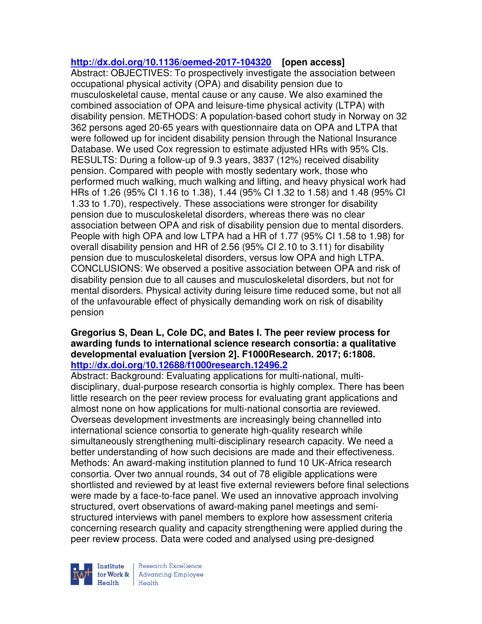### **http://dx.doi.org/10.1136/oemed-2017-104320 [open access]**

Abstract: OBJECTIVES: To prospectively investigate the association between occupational physical activity (OPA) and disability pension due to musculoskeletal cause, mental cause or any cause. We also examined the combined association of OPA and leisure-time physical activity (LTPA) with disability pension. METHODS: A population-based cohort study in Norway on 32 362 persons aged 20-65 years with questionnaire data on OPA and LTPA that were followed up for incident disability pension through the National Insurance Database. We used Cox regression to estimate adjusted HRs with 95% CIs. RESULTS: During a follow-up of 9.3 years, 3837 (12%) received disability pension. Compared with people with mostly sedentary work, those who performed much walking, much walking and lifting, and heavy physical work had HRs of 1.26 (95% CI 1.16 to 1.38), 1.44 (95% CI 1.32 to 1.58) and 1.48 (95% CI 1.33 to 1.70), respectively. These associations were stronger for disability pension due to musculoskeletal disorders, whereas there was no clear association between OPA and risk of disability pension due to mental disorders. People with high OPA and low LTPA had a HR of 1.77 (95% CI 1.58 to 1.98) for overall disability pension and HR of 2.56 (95% CI 2.10 to 3.11) for disability pension due to musculoskeletal disorders, versus low OPA and high LTPA. CONCLUSIONS: We observed a positive association between OPA and risk of disability pension due to all causes and musculoskeletal disorders, but not for mental disorders. Physical activity during leisure time reduced some, but not all of the unfavourable effect of physically demanding work on risk of disability pension

#### **Gregorius S, Dean L, Cole DC, and Bates I. The peer review process for awarding funds to international science research consortia: a qualitative developmental evaluation [version 2]. F1000Research. 2017; 6:1808. http://dx.doi.org/10.12688/f1000research.12496.2**

Abstract: Background: Evaluating applications for multi-national, multidisciplinary, dual-purpose research consortia is highly complex. There has been little research on the peer review process for evaluating grant applications and almost none on how applications for multi-national consortia are reviewed. Overseas development investments are increasingly being channelled into international science consortia to generate high-quality research while simultaneously strengthening multi-disciplinary research capacity. We need a better understanding of how such decisions are made and their effectiveness. Methods: An award-making institution planned to fund 10 UK-Africa research consortia. Over two annual rounds, 34 out of 78 eligible applications were shortlisted and reviewed by at least five external reviewers before final selections were made by a face-to-face panel. We used an innovative approach involving structured, overt observations of award-making panel meetings and semistructured interviews with panel members to explore how assessment criteria concerning research quality and capacity strengthening were applied during the peer review process. Data were coded and analysed using pre-designed



Research Excellence for Work & | Advancing Employee Health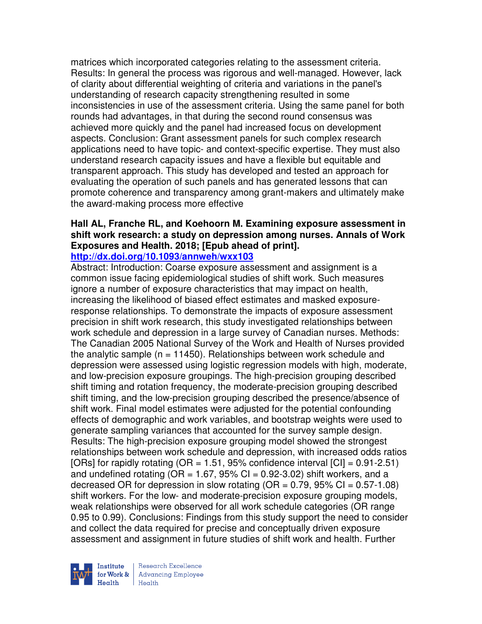matrices which incorporated categories relating to the assessment criteria. Results: In general the process was rigorous and well-managed. However, lack of clarity about differential weighting of criteria and variations in the panel's understanding of research capacity strengthening resulted in some inconsistencies in use of the assessment criteria. Using the same panel for both rounds had advantages, in that during the second round consensus was achieved more quickly and the panel had increased focus on development aspects. Conclusion: Grant assessment panels for such complex research applications need to have topic- and context-specific expertise. They must also understand research capacity issues and have a flexible but equitable and transparent approach. This study has developed and tested an approach for evaluating the operation of such panels and has generated lessons that can promote coherence and transparency among grant-makers and ultimately make the award-making process more effective

# **Hall AL, Franche RL, and Koehoorn M. Examining exposure assessment in shift work research: a study on depression among nurses. Annals of Work Exposures and Health. 2018; [Epub ahead of print].**

## **http://dx.doi.org/10.1093/annweh/wxx103**

Abstract: Introduction: Coarse exposure assessment and assignment is a common issue facing epidemiological studies of shift work. Such measures ignore a number of exposure characteristics that may impact on health, increasing the likelihood of biased effect estimates and masked exposureresponse relationships. To demonstrate the impacts of exposure assessment precision in shift work research, this study investigated relationships between work schedule and depression in a large survey of Canadian nurses. Methods: The Canadian 2005 National Survey of the Work and Health of Nurses provided the analytic sample  $(n = 11450)$ . Relationships between work schedule and depression were assessed using logistic regression models with high, moderate, and low-precision exposure groupings. The high-precision grouping described shift timing and rotation frequency, the moderate-precision grouping described shift timing, and the low-precision grouping described the presence/absence of shift work. Final model estimates were adjusted for the potential confounding effects of demographic and work variables, and bootstrap weights were used to generate sampling variances that accounted for the survey sample design. Results: The high-precision exposure grouping model showed the strongest relationships between work schedule and depression, with increased odds ratios [ORs] for rapidly rotating (OR = 1.51, 95% confidence interval  $|CI|$  = 0.91-2.51) and undefined rotating ( $OR = 1.67$ ,  $95\%$  CI = 0.92-3.02) shift workers, and a decreased OR for depression in slow rotating (OR =  $0.79$ ,  $95\%$  CI =  $0.57-1.08$ ) shift workers. For the low- and moderate-precision exposure grouping models, weak relationships were observed for all work schedule categories (OR range 0.95 to 0.99). Conclusions: Findings from this study support the need to consider and collect the data required for precise and conceptually driven exposure assessment and assignment in future studies of shift work and health. Further

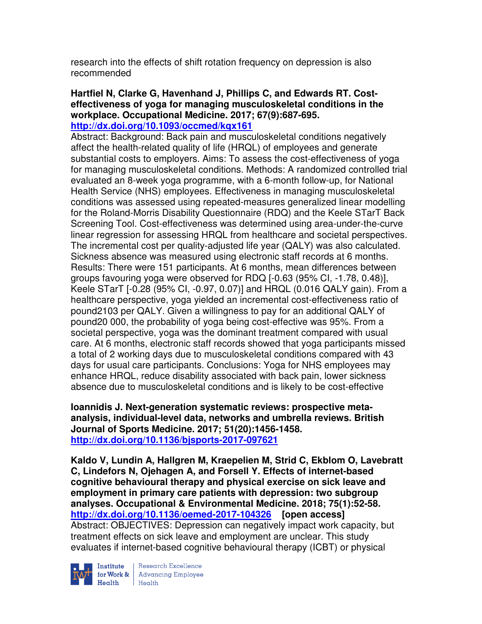research into the effects of shift rotation frequency on depression is also recommended

#### **Hartfiel N, Clarke G, Havenhand J, Phillips C, and Edwards RT. Costeffectiveness of yoga for managing musculoskeletal conditions in the workplace. Occupational Medicine. 2017; 67(9):687-695. http://dx.doi.org/10.1093/occmed/kqx161**

Abstract: Background: Back pain and musculoskeletal conditions negatively affect the health-related quality of life (HRQL) of employees and generate substantial costs to employers. Aims: To assess the cost-effectiveness of yoga for managing musculoskeletal conditions. Methods: A randomized controlled trial evaluated an 8-week yoga programme, with a 6-month follow-up, for National Health Service (NHS) employees. Effectiveness in managing musculoskeletal conditions was assessed using repeated-measures generalized linear modelling for the Roland-Morris Disability Questionnaire (RDQ) and the Keele STarT Back Screening Tool. Cost-effectiveness was determined using area-under-the-curve linear regression for assessing HRQL from healthcare and societal perspectives. The incremental cost per quality-adjusted life year (QALY) was also calculated. Sickness absence was measured using electronic staff records at 6 months. Results: There were 151 participants. At 6 months, mean differences between groups favouring yoga were observed for RDQ [-0.63 (95% CI, -1.78, 0.48)], Keele STarT [-0.28 (95% CI, -0.97, 0.07)] and HRQL (0.016 QALY gain). From a healthcare perspective, yoga yielded an incremental cost-effectiveness ratio of pound2103 per QALY. Given a willingness to pay for an additional QALY of pound20 000, the probability of yoga being cost-effective was 95%. From a societal perspective, yoga was the dominant treatment compared with usual care. At 6 months, electronic staff records showed that yoga participants missed a total of 2 working days due to musculoskeletal conditions compared with 43 days for usual care participants. Conclusions: Yoga for NHS employees may enhance HRQL, reduce disability associated with back pain, lower sickness absence due to musculoskeletal conditions and is likely to be cost-effective

**Ioannidis J. Next-generation systematic reviews: prospective metaanalysis, individual-level data, networks and umbrella reviews. British Journal of Sports Medicine. 2017; 51(20):1456-1458. http://dx.doi.org/10.1136/bjsports-2017-097621** 

**Kaldo V, Lundin A, Hallgren M, Kraepelien M, Strid C, Ekblom O, Lavebratt C, Lindefors N, Ojehagen A, and Forsell Y. Effects of internet-based cognitive behavioural therapy and physical exercise on sick leave and employment in primary care patients with depression: two subgroup analyses. Occupational & Environmental Medicine. 2018; 75(1):52-58. http://dx.doi.org/10.1136/oemed-2017-104326 [open access]** Abstract: OBJECTIVES: Depression can negatively impact work capacity, but treatment effects on sick leave and employment are unclear. This study evaluates if internet-based cognitive behavioural therapy (ICBT) or physical



Institute Research Excellence<br>for Work & Advancing Employee Health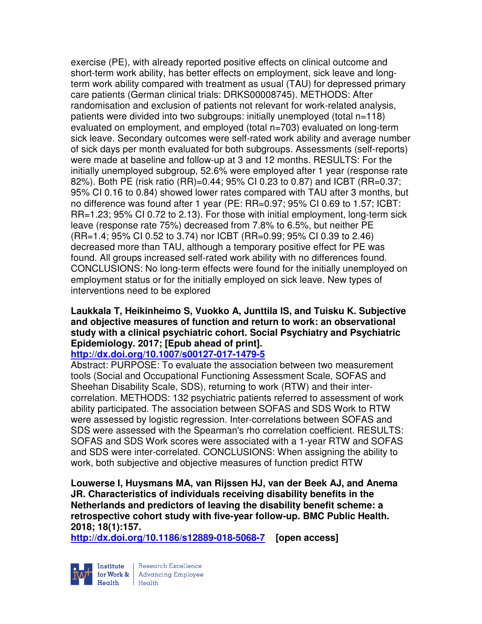exercise (PE), with already reported positive effects on clinical outcome and short-term work ability, has better effects on employment, sick leave and longterm work ability compared with treatment as usual (TAU) for depressed primary care patients (German clinical trials: DRKS00008745). METHODS: After randomisation and exclusion of patients not relevant for work-related analysis, patients were divided into two subgroups: initially unemployed (total n=118) evaluated on employment, and employed (total n=703) evaluated on long-term sick leave. Secondary outcomes were self-rated work ability and average number of sick days per month evaluated for both subgroups. Assessments (self-reports) were made at baseline and follow-up at 3 and 12 months. RESULTS: For the initially unemployed subgroup, 52.6% were employed after 1 year (response rate 82%). Both PE (risk ratio (RR)=0.44; 95% CI 0.23 to 0.87) and ICBT (RR=0.37; 95% CI 0.16 to 0.84) showed lower rates compared with TAU after 3 months, but no difference was found after 1 year (PE: RR=0.97; 95% CI 0.69 to 1.57; ICBT: RR=1.23; 95% CI 0.72 to 2.13). For those with initial employment, long-term sick leave (response rate 75%) decreased from 7.8% to 6.5%, but neither PE (RR=1.4; 95% CI 0.52 to 3.74) nor ICBT (RR=0.99; 95% CI 0.39 to 2.46) decreased more than TAU, although a temporary positive effect for PE was found. All groups increased self-rated work ability with no differences found. CONCLUSIONS: No long-term effects were found for the initially unemployed on employment status or for the initially employed on sick leave. New types of interventions need to be explored

## **Laukkala T, Heikinheimo S, Vuokko A, Junttila IS, and Tuisku K. Subjective and objective measures of function and return to work: an observational study with a clinical psychiatric cohort. Social Psychiatry and Psychiatric Epidemiology. 2017; [Epub ahead of print].**

## **http://dx.doi.org/10.1007/s00127-017-1479-5**

Abstract: PURPOSE: To evaluate the association between two measurement tools (Social and Occupational Functioning Assessment Scale, SOFAS and Sheehan Disability Scale, SDS), returning to work (RTW) and their intercorrelation. METHODS: 132 psychiatric patients referred to assessment of work ability participated. The association between SOFAS and SDS Work to RTW were assessed by logistic regression. Inter-correlations between SOFAS and SDS were assessed with the Spearman's rho correlation coefficient. RESULTS: SOFAS and SDS Work scores were associated with a 1-year RTW and SOFAS and SDS were inter-correlated. CONCLUSIONS: When assigning the ability to work, both subjective and objective measures of function predict RTW

**Louwerse I, Huysmans MA, van Rijssen HJ, van der Beek AJ, and Anema JR. Characteristics of individuals receiving disability benefits in the Netherlands and predictors of leaving the disability benefit scheme: a retrospective cohort study with five-year follow-up. BMC Public Health. 2018; 18(1):157.** 

**http://dx.doi.org/10.1186/s12889-018-5068-7 [open access]**



Research Excellence for Work & | Advancing Employee  $H_{\text{each}}$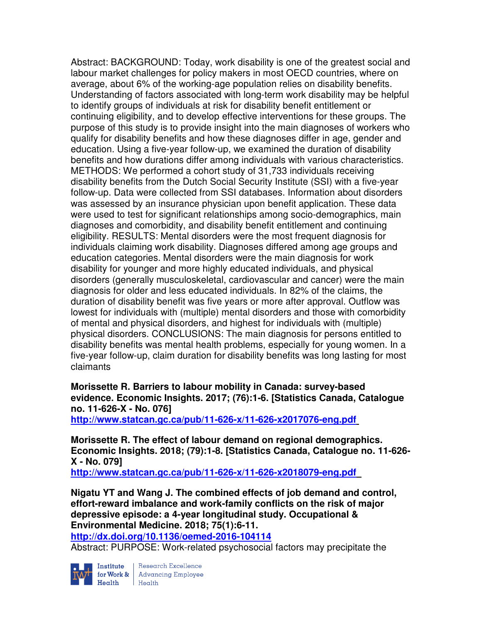Abstract: BACKGROUND: Today, work disability is one of the greatest social and labour market challenges for policy makers in most OECD countries, where on average, about 6% of the working-age population relies on disability benefits. Understanding of factors associated with long-term work disability may be helpful to identify groups of individuals at risk for disability benefit entitlement or continuing eligibility, and to develop effective interventions for these groups. The purpose of this study is to provide insight into the main diagnoses of workers who qualify for disability benefits and how these diagnoses differ in age, gender and education. Using a five-year follow-up, we examined the duration of disability benefits and how durations differ among individuals with various characteristics. METHODS: We performed a cohort study of 31,733 individuals receiving disability benefits from the Dutch Social Security Institute (SSI) with a five-year follow-up. Data were collected from SSI databases. Information about disorders was assessed by an insurance physician upon benefit application. These data were used to test for significant relationships among socio-demographics, main diagnoses and comorbidity, and disability benefit entitlement and continuing eligibility. RESULTS: Mental disorders were the most frequent diagnosis for individuals claiming work disability. Diagnoses differed among age groups and education categories. Mental disorders were the main diagnosis for work disability for younger and more highly educated individuals, and physical disorders (generally musculoskeletal, cardiovascular and cancer) were the main diagnosis for older and less educated individuals. In 82% of the claims, the duration of disability benefit was five years or more after approval. Outflow was lowest for individuals with (multiple) mental disorders and those with comorbidity of mental and physical disorders, and highest for individuals with (multiple) physical disorders. CONCLUSIONS: The main diagnosis for persons entitled to disability benefits was mental health problems, especially for young women. In a five-year follow-up, claim duration for disability benefits was long lasting for most claimants

**Morissette R. Barriers to labour mobility in Canada: survey-based evidence. Economic Insights. 2017; (76):1-6. [Statistics Canada, Catalogue no. 11-626-X - No. 076]** 

**http://www.statcan.gc.ca/pub/11-626-x/11-626-x2017076-eng.pdf** 

**Morissette R. The effect of labour demand on regional demographics. Economic Insights. 2018; (79):1-8. [Statistics Canada, Catalogue no. 11-626- X - No. 079]** 

**http://www.statcan.gc.ca/pub/11-626-x/11-626-x2018079-eng.pdf** 

**Nigatu YT and Wang J. The combined effects of job demand and control, effort-reward imbalance and work-family conflicts on the risk of major depressive episode: a 4-year longitudinal study. Occupational & Environmental Medicine. 2018; 75(1):6-11.** 

**http://dx.doi.org/10.1136/oemed-2016-104114** 

Abstract: PURPOSE: Work-related psychosocial factors may precipitate the



Institute Research Excellence<br>for Work & Advancing Employee<br>Health Health Health Health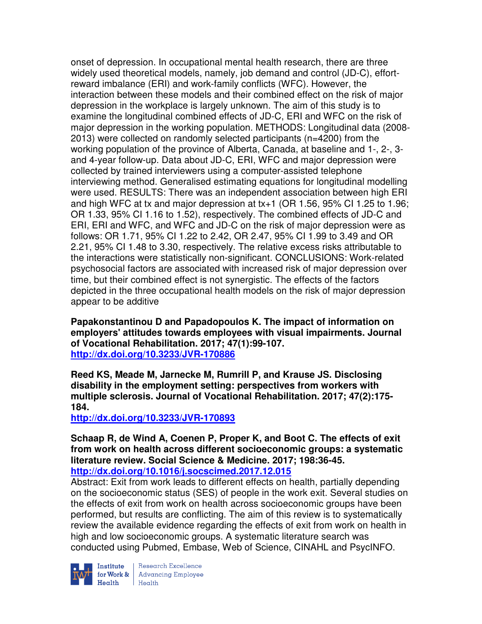onset of depression. In occupational mental health research, there are three widely used theoretical models, namely, job demand and control (JD-C), effortreward imbalance (ERI) and work-family conflicts (WFC). However, the interaction between these models and their combined effect on the risk of major depression in the workplace is largely unknown. The aim of this study is to examine the longitudinal combined effects of JD-C, ERI and WFC on the risk of major depression in the working population. METHODS: Longitudinal data (2008- 2013) were collected on randomly selected participants (n=4200) from the working population of the province of Alberta, Canada, at baseline and 1-, 2-, 3 and 4-year follow-up. Data about JD-C, ERI, WFC and major depression were collected by trained interviewers using a computer-assisted telephone interviewing method. Generalised estimating equations for longitudinal modelling were used. RESULTS: There was an independent association between high ERI and high WFC at tx and major depression at tx+1 (OR 1.56, 95% CI 1.25 to 1.96; OR 1.33, 95% CI 1.16 to 1.52), respectively. The combined effects of JD-C and ERI, ERI and WFC, and WFC and JD-C on the risk of major depression were as follows: OR 1.71, 95% CI 1.22 to 2.42, OR 2.47, 95% CI 1.99 to 3.49 and OR 2.21, 95% CI 1.48 to 3.30, respectively. The relative excess risks attributable to the interactions were statistically non-significant. CONCLUSIONS: Work-related psychosocial factors are associated with increased risk of major depression over time, but their combined effect is not synergistic. The effects of the factors depicted in the three occupational health models on the risk of major depression appear to be additive

**Papakonstantinou D and Papadopoulos K. The impact of information on employers' attitudes towards employees with visual impairments. Journal of Vocational Rehabilitation. 2017; 47(1):99-107. http://dx.doi.org/10.3233/JVR-170886** 

**Reed KS, Meade M, Jarnecke M, Rumrill P, and Krause JS. Disclosing disability in the employment setting: perspectives from workers with multiple sclerosis. Journal of Vocational Rehabilitation. 2017; 47(2):175- 184.** 

**http://dx.doi.org/10.3233/JVR-170893** 

**Schaap R, de Wind A, Coenen P, Proper K, and Boot C. The effects of exit from work on health across different socioeconomic groups: a systematic literature review. Social Science & Medicine. 2017; 198:36-45. http://dx.doi.org/10.1016/j.socscimed.2017.12.015** 

Abstract: Exit from work leads to different effects on health, partially depending on the socioeconomic status (SES) of people in the work exit. Several studies on the effects of exit from work on health across socioeconomic groups have been performed, but results are conflicting. The aim of this review is to systematically review the available evidence regarding the effects of exit from work on health in high and low socioeconomic groups. A systematic literature search was conducted using Pubmed, Embase, Web of Science, CINAHL and PsycINFO.



Institute Research Excellence<br>for Work & Advancing Employee  $H_{\text{each}}$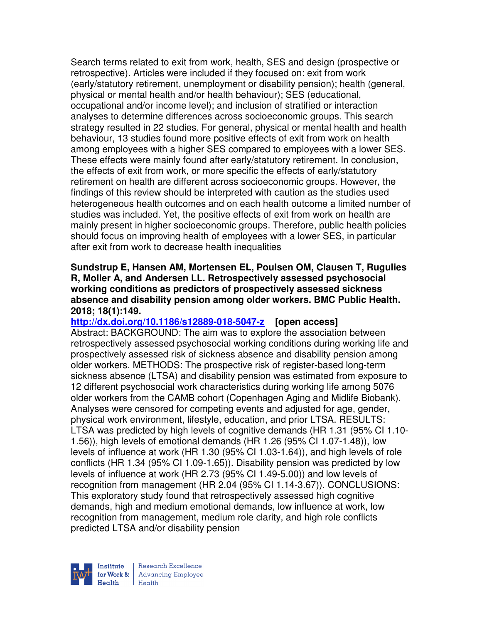Search terms related to exit from work, health, SES and design (prospective or retrospective). Articles were included if they focused on: exit from work (early/statutory retirement, unemployment or disability pension); health (general, physical or mental health and/or health behaviour); SES (educational, occupational and/or income level); and inclusion of stratified or interaction analyses to determine differences across socioeconomic groups. This search strategy resulted in 22 studies. For general, physical or mental health and health behaviour, 13 studies found more positive effects of exit from work on health among employees with a higher SES compared to employees with a lower SES. These effects were mainly found after early/statutory retirement. In conclusion, the effects of exit from work, or more specific the effects of early/statutory retirement on health are different across socioeconomic groups. However, the findings of this review should be interpreted with caution as the studies used heterogeneous health outcomes and on each health outcome a limited number of studies was included. Yet, the positive effects of exit from work on health are mainly present in higher socioeconomic groups. Therefore, public health policies should focus on improving health of employees with a lower SES, in particular after exit from work to decrease health inequalities

#### **Sundstrup E, Hansen AM, Mortensen EL, Poulsen OM, Clausen T, Rugulies R, Moller A, and Andersen LL. Retrospectively assessed psychosocial working conditions as predictors of prospectively assessed sickness absence and disability pension among older workers. BMC Public Health. 2018; 18(1):149.**

#### **http://dx.doi.org/10.1186/s12889-018-5047-z [open access]**

Abstract: BACKGROUND: The aim was to explore the association between retrospectively assessed psychosocial working conditions during working life and prospectively assessed risk of sickness absence and disability pension among older workers. METHODS: The prospective risk of register-based long-term sickness absence (LTSA) and disability pension was estimated from exposure to 12 different psychosocial work characteristics during working life among 5076 older workers from the CAMB cohort (Copenhagen Aging and Midlife Biobank). Analyses were censored for competing events and adjusted for age, gender, physical work environment, lifestyle, education, and prior LTSA. RESULTS: LTSA was predicted by high levels of cognitive demands (HR 1.31 (95% CI 1.10- 1.56)), high levels of emotional demands (HR 1.26 (95% CI 1.07-1.48)), low levels of influence at work (HR 1.30 (95% CI 1.03-1.64)), and high levels of role conflicts (HR 1.34 (95% CI 1.09-1.65)). Disability pension was predicted by low levels of influence at work (HR 2.73 (95% CI 1.49-5.00)) and low levels of recognition from management (HR 2.04 (95% CI 1.14-3.67)). CONCLUSIONS: This exploratory study found that retrospectively assessed high cognitive demands, high and medium emotional demands, low influence at work, low recognition from management, medium role clarity, and high role conflicts predicted LTSA and/or disability pension



Research Excellence for Work & | Advancing Employee Health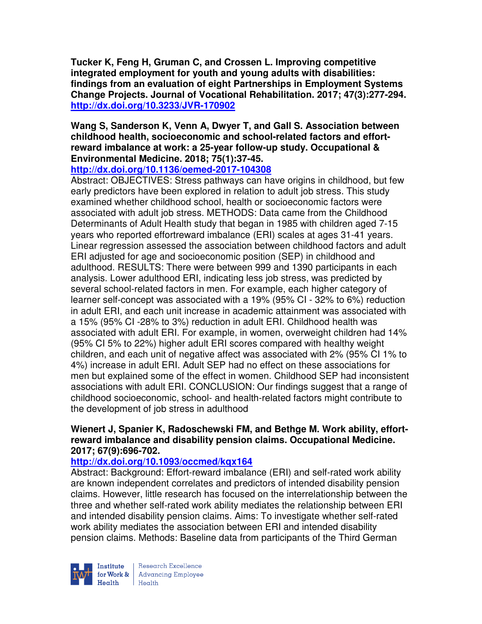**Tucker K, Feng H, Gruman C, and Crossen L. Improving competitive integrated employment for youth and young adults with disabilities: findings from an evaluation of eight Partnerships in Employment Systems Change Projects. Journal of Vocational Rehabilitation. 2017; 47(3):277-294. http://dx.doi.org/10.3233/JVR-170902** 

**Wang S, Sanderson K, Venn A, Dwyer T, and Gall S. Association between childhood health, socioeconomic and school-related factors and effortreward imbalance at work: a 25-year follow-up study. Occupational & Environmental Medicine. 2018; 75(1):37-45.** 

## **http://dx.doi.org/10.1136/oemed-2017-104308**

Abstract: OBJECTIVES: Stress pathways can have origins in childhood, but few early predictors have been explored in relation to adult job stress. This study examined whether childhood school, health or socioeconomic factors were associated with adult job stress. METHODS: Data came from the Childhood Determinants of Adult Health study that began in 1985 with children aged 7-15 years who reported effortreward imbalance (ERI) scales at ages 31-41 years. Linear regression assessed the association between childhood factors and adult ERI adjusted for age and socioeconomic position (SEP) in childhood and adulthood. RESULTS: There were between 999 and 1390 participants in each analysis. Lower adulthood ERI, indicating less job stress, was predicted by several school-related factors in men. For example, each higher category of learner self-concept was associated with a 19% (95% CI - 32% to 6%) reduction in adult ERI, and each unit increase in academic attainment was associated with a 15% (95% CI -28% to 3%) reduction in adult ERI. Childhood health was associated with adult ERI. For example, in women, overweight children had 14% (95% CI 5% to 22%) higher adult ERI scores compared with healthy weight children, and each unit of negative affect was associated with 2% (95% CI 1% to 4%) increase in adult ERI. Adult SEP had no effect on these associations for men but explained some of the effect in women. Childhood SEP had inconsistent associations with adult ERI. CONCLUSION: Our findings suggest that a range of childhood socioeconomic, school- and health-related factors might contribute to the development of job stress in adulthood

#### **Wienert J, Spanier K, Radoschewski FM, and Bethge M. Work ability, effortreward imbalance and disability pension claims. Occupational Medicine. 2017; 67(9):696-702.**

## **http://dx.doi.org/10.1093/occmed/kqx164**

Abstract: Background: Effort-reward imbalance (ERI) and self-rated work ability are known independent correlates and predictors of intended disability pension claims. However, little research has focused on the interrelationship between the three and whether self-rated work ability mediates the relationship between ERI and intended disability pension claims. Aims: To investigate whether self-rated work ability mediates the association between ERI and intended disability pension claims. Methods: Baseline data from participants of the Third German



Research Excellence for Work & | Advancing Employee Health